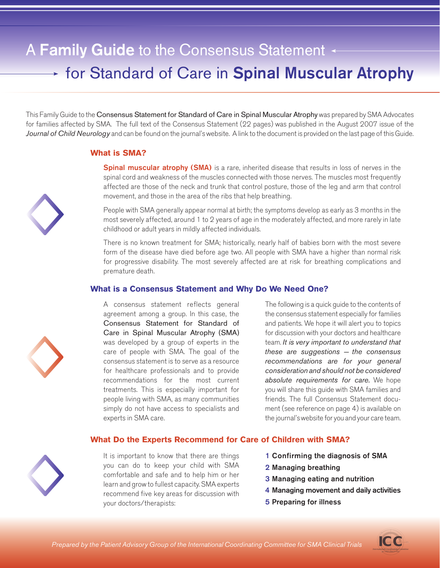# A Family Guide to the Consensus Statement **for Standard of Care in Spinal Muscular Atrophy**

This Family Guide to the Consensus Statement for Standard of Care in Spinal Muscular Atrophy was prepared by SMA Advocates for families affected by SMA. The full text of the Consensus Statement (22 pages) was published in the August 2007 issue of the Journal of Child Neurology and can be found on the journal's website. A link to the document is provided on the last page of this Guide.

## What is SMA?

**Spinal muscular atrophy (SMA)** is a rare, inherited disease that results in loss of nerves in the spinal cord and weakness of the muscles connected with those nerves. The muscles most frequently affected are those of the neck and trunk that control posture, those of the leg and arm that control movement, and those in the area of the ribs that help breathing.

People with SMA generally appear normal at birth; the symptoms develop as early as 3 months in the most severely affected, around 1 to 2 years of age in the moderately affected, and more rarely in late childhood or adult years in mildly affected individuals.

There is no known treatment for SMA; historically, nearly half of babies born with the most severe form of the disease have died before age two. All people with SMA have a higher than normal risk for progressive disability. The most severely affected are at risk for breathing complications and premature death.

## What is a Consensus Statement and Why Do We Need One?

A consensus statement reflects general agreement among a group. In this case, the Consensus Statement for Standard of Care in Spinal Muscular Atrophy (SMA) was developed by a group of experts in the care of people with SMA. The goal of the consensus statement is to serve as a resource for healthcare professionals and to provide recommendations for the most current treatments. This is especially important for people living with SMA, as many communities simply do not have access to specialists and experts in SMA care.

It is important to know that there are things you can do to keep your child with SMA comfortable and safe and to help him or her learn and grow to fullest capacity. SMA experts recommend five key areas for discussion with

your doctors/therapists:

The following is a quick guide to the contents of the consensus statement especially for families and patients. We hope it will alert you to topics for discussion with your doctors and healthcare team. It is very important to understand that these are suggestions  $-$  the consensus recommendations are for your general consideration and should not be considered absolute requirements for care. We hope you will share this guide with SMA families and friends. The full Consensus Statement document (see reference on page 4) is available on the journal's website for you and your care team.

#### What Do the Experts Recommend for Care of Children with SMA?

1 Confirming the diagnosis of SMA

- 2 Managing breathing
- 3 Managing eating and nutrition
- 4 Managing movement and daily activities
- 5 Preparing for illness



Prepared by the Patient Advisory Group of the International Coordinating Committee for SMA Clinical Trials





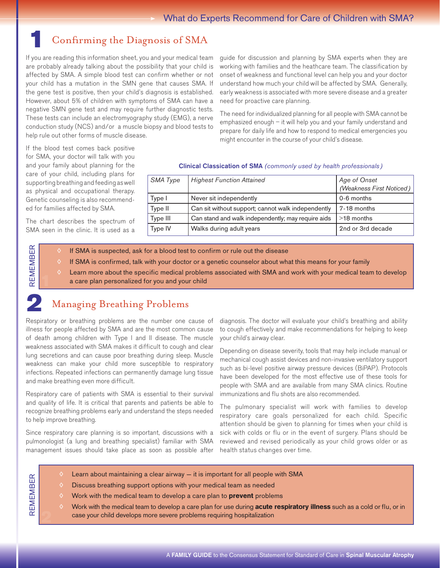# 1 Confirming the Diagnosis of SMA

If you are reading this information sheet, you and your medical team are probably already talking about the possibility that your child is affected by SMA. A simple blood test can confirm whether or not your child has a mutation in the SMN gene that causes SMA. If the gene test is positive, then your child's diagnosis is established. However, about 5% of children with symptoms of SMA can have a negative SMN gene test and may require further diagnostic tests. These tests can include an electromyography study (EMG), a nerve conduction study (NCS) and/or a muscle biopsy and blood tests to help rule out other forms of muscle disease.

guide for discussion and planning by SMA experts when they are working with families and the heathcare team. The classification by onset of weakness and functional level can help you and your doctor understand how much your child will be affected by SMA. Generally, early weakness is associated with more severe disease and a greater need for proactive care planning.

The need for individualized planning for all people with SMA cannot be emphasized enough – it will help you and your family understand and prepare for daily life and how to respond to medical emergencies you might encounter in the course of your child's disease.

If the blood test comes back positive for SMA, your doctor will talk with you and your family about planning for the care of your child, including plans for supporting breathing and feeding as well as physical and occupational therapy. Genetic counseling is also recommended for families affected by SMA.

The chart describes the spectrum of SMA seen in the clinic. It is used as a

#### Clinical Classication of SMA (commonly used by health professionals)

| SMA Type | <b>Highest Function Attained</b>                   | Age of Onset<br>(Weakness First Noticed) |
|----------|----------------------------------------------------|------------------------------------------|
| Type I   | Never sit independently                            | 0-6 months                               |
| Type II  | Can sit without support; cannot walk independently | 7-18 months                              |
| Type III | Can stand and walk independently; may require aids | $>18$ months                             |
| Type IV  | Walks during adult years                           | 2nd or 3rd decade                        |

- If SMA is suspected, ask for a blood test to confirm or rule out the disease
- If SMA is confirmed, talk with your doctor or a genetic counselor about what this means for your family
- Learn more about the specific medical problems associated with SMA and work with your medical team to develop a care plan personalized for you and your child

Remem

ber

1

2

Remem

ber

## **Managing Breathing Problems**

Respiratory or breathing problems are the number one cause of illness for people affected by SMA and are the most common cause of death among children with Type I and II disease. The muscle weakness associated with SMA makes it difficult to cough and clear lung secretions and can cause poor breathing during sleep. Muscle weakness can make your child more susceptible to respiratory infections. Repeated infections can permanently damage lung tissue and make breathing even more difficult.

Respiratory care of patients with SMA is essential to their survival and quality of life. It is critical that parents and patients be able to recognize breathing problems early and understand the steps needed to help improve breathing.

Since respiratory care planning is so important, discussions with a pulmonologist (a lung and breathing specialist) familiar with SMA management issues should take place as soon as possible after diagnosis. The doctor will evaluate your child's breathing and ability to cough effectively and make recommendations for helping to keep your child's airway clear.

Depending on disease severity, tools that may help include manual or mechanical cough assist devices and non-invasive ventilatory support such as bi-level positive airway pressure devices (BiPAP). Protocols have been developed for the most effective use of these tools for people with SMA and are available from many SMA clinics. Routine immunizations and flu shots are also recommended.

The pulmonary specialist will work with families to develop respiratory care goals personalized for each child. Specific attention should be given to planning for times when your child is sick with colds or flu or in the event of surgery. Plans should be reviewed and revised periodically as your child grows older or as health status changes over time.

- ◊ Learn about maintaining a clear airway it is important for all people with SMA
- Discuss breathing support options with your medical team as needed
- Work with the medical team to develop a care plan to **prevent** problems
- Work with the medical team to develop a care plan for use during **acute respiratory illness** such as a cold or flu, or in case your child develops more severe problems requiring hospitalization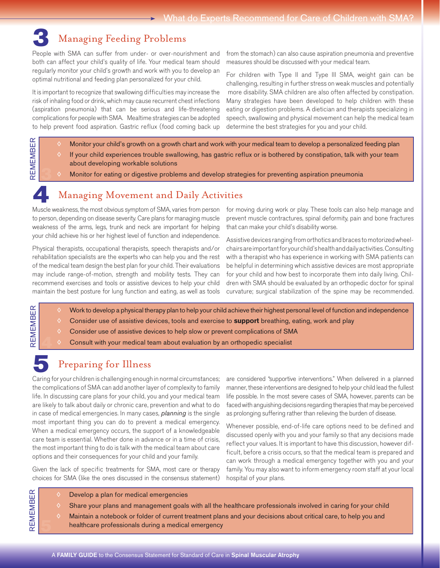# 3 Managing Feeding Problems

People with SMA can suffer from under- or over-nourishment and both can affect your child's quality of life. Your medical team should regularly monitor your child's growth and work with you to develop an optimal nutritional and feeding plan personalized for your child.

It is important to recognize that swallowing difficulties may increase the risk of inhaling food or drink, which may cause recurrent chest infections (aspiration pneumonia) that can be serious and life-threatening complications for people with SMA. Mealtime strategies can be adopted to help prevent food aspiration. Gastric reflux (food coming back up

from the stomach) can also cause aspiration pneumonia and preventive measures should be discussed with your medical team.

For children with Type II and Type III SMA, weight gain can be challenging, resulting in further stress on weak muscles and potentially more disability. SMA children are also often affected by constipation. Many strategies have been developed to help children with these eating or digestion problems. A dietician and therapists specializing in speech, swallowing and physical movement can help the medical team determine the best strategies for you and your child.

- Monitor your child's growth on a growth chart and work with your medical team to develop a personalized feeding plan
- If your child experiences trouble swallowing, has gastric reflux or is bothered by constipation, talk with your team about developing workable solutions
- Monitor for eating or digestive problems and develop strategies for preventing aspiration pneumonia

# Managing Movement and Daily Activities

Muscle weakness, the most obvious symptom of SMA, varies from person to person, depending on disease severity. Care plans for managing muscle weakness of the arms, legs, trunk and neck are important for helping your child achieve his or her highest level of function and independence.

Physical therapists, occupational therapists, speech therapists and/or rehabilitation specialists are the experts who can help you and the rest of the medical team design the best plan for your child. Their evaluations may include range-of-motion, strength and mobility tests. They can recommend exercises and tools or assistive devices to help your child maintain the best posture for lung function and eating, as well as tools for moving during work or play. These tools can also help manage and prevent muscle contractures, spinal deformity, pain and bone fractures that can make your child's disability worse.

Assistive devices ranging from orthotics and braces to motorized wheelchairs are important for your child's health and daily activities. Consulting with a therapist who has experience in working with SMA patients can be helpful in determining which assistive devices are most appropriate for your child and how best to incorporate them into daily living. Children with SMA should be evaluated by an orthopedic doctor for spinal curvature; surgical stabilization of the spine may be recommended.

- Work to develop a physical therapy plan to help your child achieve their highest personal level of function and independence
- Consider use of assistive devices, tools and exercise to **support** breathing, eating, work and play
- Consider use of assistive devices to help slow or prevent complications of SMA
- Consult with your medical team about evaluation by an orthopedic specialist

## Preparing for Illness

Caring for your children is challenging enough in normal circumstances; the complications of SMA can add another layer of complexity to family life. In discussing care plans for your child, you and your medical team are likely to talk about daily or chronic care, prevention and what to do in case of medical emergencies. In many cases, *planning* is the single most important thing you can do to prevent a medical emergency. When a medical emergency occurs, the support of a knowledgeable care team is essential. Whether done in advance or in a time of crisis, the most important thing to do is talk with the medical team about care options and their consequences for your child and your family.

Given the lack of specific treatments for SMA, most care or therapy choices for SMA (like the ones discussed in the consensus statement)

are considered "supportive interventions." When delivered in a planned manner, these interventions are designed to help your child lead the fullest life possible. In the most severe cases of SMA, however, parents can be faced with anguishing decisions regarding therapies that may be perceived as prolonging suffering rather than relieving the burden of disease.

Whenever possible, end-of-life care options need to be defined and discussed openly with you and your family so that any decisions made reflect your values. It is important to have this discussion, however difficult, before a crisis occurs, so that the medical team is prepared and can work through a medical emergency together with you and your family. You may also want to inform emergency room staff at your local hospital of your plans.

**REMEMBER** 

Remem

Remem

BER

4

ber

3

- Develop a plan for medical emergencies
- Share your plans and management goals with all the healthcare professionals involved in caring for your child
- ◊ Maintain a notebook or folder of current treatment plans and your decisions about critical care, to help you and  $\sum_{n=1}^{\infty}$  share your plans and management goals with all the<br>
Maintain a notebook or folder of current treatment plan<br>
healthcare professionals during a medical emergency